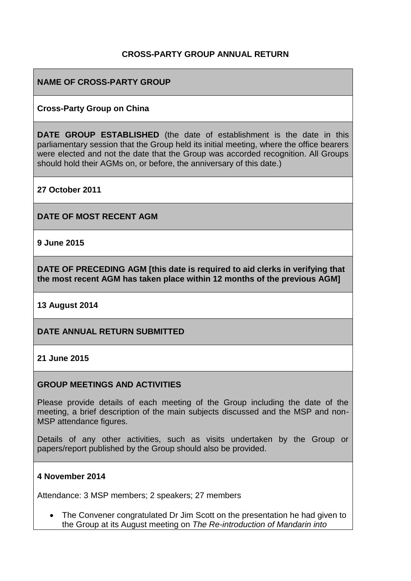### **CROSS-PARTY GROUP ANNUAL RETURN**

### **NAME OF CROSS-PARTY GROUP**

#### **Cross-Party Group on China**

**DATE GROUP ESTABLISHED** (the date of establishment is the date in this parliamentary session that the Group held its initial meeting, where the office bearers were elected and not the date that the Group was accorded recognition. All Groups should hold their AGMs on, or before, the anniversary of this date.)

**27 October 2011**

**DATE OF MOST RECENT AGM**

**9 June 2015**

**DATE OF PRECEDING AGM [this date is required to aid clerks in verifying that the most recent AGM has taken place within 12 months of the previous AGM]**

#### **13 August 2014**

#### **DATE ANNUAL RETURN SUBMITTED**

#### **21 June 2015**

#### **GROUP MEETINGS AND ACTIVITIES**

Please provide details of each meeting of the Group including the date of the meeting, a brief description of the main subjects discussed and the MSP and non-MSP attendance figures.

Details of any other activities, such as visits undertaken by the Group or papers/report published by the Group should also be provided.

#### **4 November 2014**

Attendance: 3 MSP members; 2 speakers; 27 members

• The Convener congratulated Dr Jim Scott on the presentation he had given to the Group at its August meeting on *The Re-introduction of Mandarin into*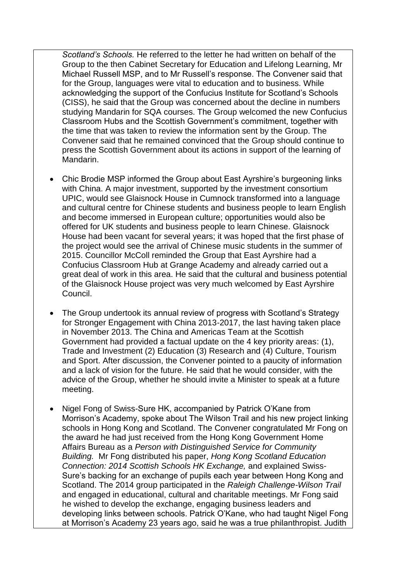*Scotland's Schools.* He referred to the letter he had written on behalf of the Group to the then Cabinet Secretary for Education and Lifelong Learning, Mr Michael Russell MSP, and to Mr Russell's response. The Convener said that for the Group, languages were vital to education and to business. While acknowledging the support of the Confucius Institute for Scotland's Schools (CISS), he said that the Group was concerned about the decline in numbers studying Mandarin for SQA courses. The Group welcomed the new Confucius Classroom Hubs and the Scottish Government's commitment, together with the time that was taken to review the information sent by the Group. The Convener said that he remained convinced that the Group should continue to press the Scottish Government about its actions in support of the learning of Mandarin.

- Chic Brodie MSP informed the Group about East Ayrshire's burgeoning links with China. A major investment, supported by the investment consortium UPIC, would see Glaisnock House in Cumnock transformed into a language and cultural centre for Chinese students and business people to learn English and become immersed in European culture; opportunities would also be offered for UK students and business people to learn Chinese. Glaisnock House had been vacant for several years; it was hoped that the first phase of the project would see the arrival of Chinese music students in the summer of 2015. Councillor McColl reminded the Group that East Ayrshire had a Confucius Classroom Hub at Grange Academy and already carried out a great deal of work in this area. He said that the cultural and business potential of the Glaisnock House project was very much welcomed by East Ayrshire Council.
- The Group undertook its annual review of progress with Scotland's Strategy for Stronger Engagement with China 2013-2017, the last having taken place in November 2013. The China and Americas Team at the Scottish Government had provided a factual update on the 4 key priority areas: (1), Trade and Investment (2) Education (3) Research and (4) Culture, Tourism and Sport. After discussion, the Convener pointed to a paucity of information and a lack of vision for the future. He said that he would consider, with the advice of the Group, whether he should invite a Minister to speak at a future meeting.
- Nigel Fong of Swiss-Sure HK, accompanied by Patrick O'Kane from Morrison's Academy, spoke about The Wilson Trail and his new project linking schools in Hong Kong and Scotland. The Convener congratulated Mr Fong on the award he had just received from the Hong Kong Government Home Affairs Bureau as a *Person with Distinguished Service for Community Building.* Mr Fong distributed his paper, *Hong Kong Scotland Education Connection: 2014 Scottish Schools HK Exchange,* and explained Swiss-Sure's backing for an exchange of pupils each year between Hong Kong and Scotland. The 2014 group participated in the *Raleigh Challenge-Wilson Trail*  and engaged in educational, cultural and charitable meetings. Mr Fong said he wished to develop the exchange, engaging business leaders and developing links between schools. Patrick O'Kane, who had taught Nigel Fong at Morrison's Academy 23 years ago, said he was a true philanthropist. Judith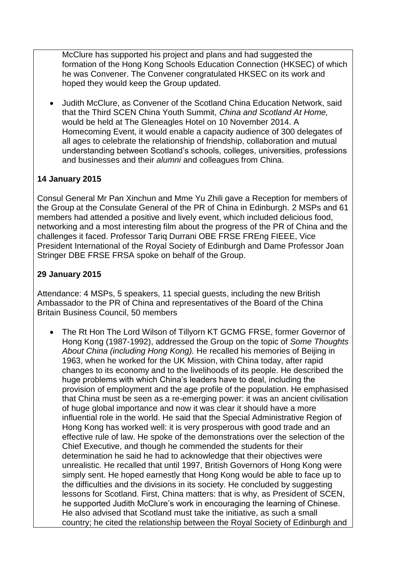McClure has supported his project and plans and had suggested the formation of the Hong Kong Schools Education Connection (HKSEC) of which he was Convener. The Convener congratulated HKSEC on its work and hoped they would keep the Group updated.

 Judith McClure, as Convener of the Scotland China Education Network, said that the Third SCEN China Youth Summit, *China and Scotland At Home,*  would be held at The Gleneagles Hotel on 10 November 2014. A Homecoming Event, it would enable a capacity audience of 300 delegates of all ages to celebrate the relationship of friendship, collaboration and mutual understanding between Scotland's schools, colleges, universities, professions and businesses and their *alumni* and colleagues from China.

## **14 January 2015**

Consul General Mr Pan Xinchun and Mme Yu Zhili gave a Reception for members of the Group at the Consulate General of the PR of China in Edinburgh. 2 MSPs and 61 members had attended a positive and lively event, which included delicious food, networking and a most interesting film about the progress of the PR of China and the challenges it faced. Professor Tariq Durrani OBE FRSE FREng FIEEE, Vice President International of the Royal Society of Edinburgh and Dame Professor Joan Stringer DBE FRSE FRSA spoke on behalf of the Group.

## **29 January 2015**

Attendance: 4 MSPs, 5 speakers, 11 special guests, including the new British Ambassador to the PR of China and representatives of the Board of the China Britain Business Council, 50 members

 The Rt Hon The Lord Wilson of Tillyorn KT GCMG FRSE, former Governor of Hong Kong (1987-1992), addressed the Group on the topic of *Some Thoughts About China (including Hong Kong).* He recalled his memories of Beijing in 1963, when he worked for the UK Mission, with China today, after rapid changes to its economy and to the livelihoods of its people. He described the huge problems with which China's leaders have to deal, including the provision of employment and the age profile of the population. He emphasised that China must be seen as a re-emerging power: it was an ancient civilisation of huge global importance and now it was clear it should have a more influential role in the world. He said that the Special Administrative Region of Hong Kong has worked well: it is very prosperous with good trade and an effective rule of law. He spoke of the demonstrations over the selection of the Chief Executive, and though he commended the students for their determination he said he had to acknowledge that their objectives were unrealistic. He recalled that until 1997, British Governors of Hong Kong were simply sent. He hoped earnestly that Hong Kong would be able to face up to the difficulties and the divisions in its society. He concluded by suggesting lessons for Scotland. First, China matters: that is why, as President of SCEN, he supported Judith McClure's work in encouraging the learning of Chinese. He also advised that Scotland must take the initiative, as such a small country; he cited the relationship between the Royal Society of Edinburgh and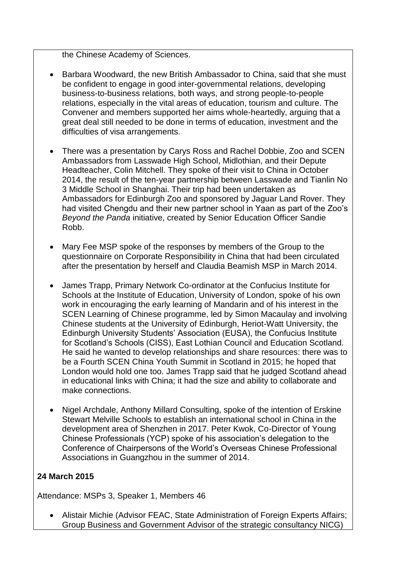the Chinese Academy of Sciences.

- Barbara Woodward, the new British Ambassador to China, said that she must be confident to engage in good inter-governmental relations, developing business-to-business relations, both ways, and strong people-to-people relations, especially in the vital areas of education, tourism and culture. The Convener and members supported her aims whole-heartedly, arguing that a great deal still needed to be done in terms of education, investment and the difficulties of visa arrangements.
- There was a presentation by Carys Ross and Rachel Dobbie, Zoo and SCEN Ambassadors from Lasswade High School, Midlothian, and their Depute Headteacher, Colin Mitchell. They spoke of their visit to China in October 2014, the result of the ten-year partnership between Lasswade and Tianlin No 3 Middle School in Shanghai. Their trip had been undertaken as Ambassadors for Edinburgh Zoo and sponsored by Jaguar Land Rover. They had visited Chengdu and their new partner school in Yaan as part of the Zoo's *Beyond the Panda* initiative, created by Senior Education Officer Sandie Robb.
- Mary Fee MSP spoke of the responses by members of the Group to the questionnaire on Corporate Responsibility in China that had been circulated after the presentation by herself and Claudia Beamish MSP in March 2014.
- James Trapp, Primary Network Co-ordinator at the Confucius Institute for Schools at the Institute of Education, University of London, spoke of his own work in encouraging the early learning of Mandarin and of his interest in the SCEN Learning of Chinese programme, led by Simon Macaulay and involving Chinese students at the University of Edinburgh, Heriot-Watt University, the Edinburgh University Students' Association (EUSA), the Confucius Institute for Scotland's Schools (CISS), East Lothian Council and Education Scotland. He said he wanted to develop relationships and share resources: there was to be a Fourth SCEN China Youth Summit in Scotland in 2015; he hoped that London would hold one too. James Trapp said that he judged Scotland ahead in educational links with China; it had the size and ability to collaborate and make connections.
- Nigel Archdale, Anthony Millard Consulting, spoke of the intention of Erskine Stewart Melville Schools to establish an international school in China in the development area of Shenzhen in 2017. Peter Kwok, Co-Director of Young Chinese Professionals (YCP) spoke of his association's delegation to the Conference of Chairpersons of the World's Overseas Chinese Professional Associations in Guangzhou in the summer of 2014.

# **24 March 2015**

Attendance: MSPs 3, Speaker 1, Members 46

 Alistair Michie (Advisor FEAC, State Administration of Foreign Experts Affairs; Group Business and Government Advisor of the strategic consultancy NICG)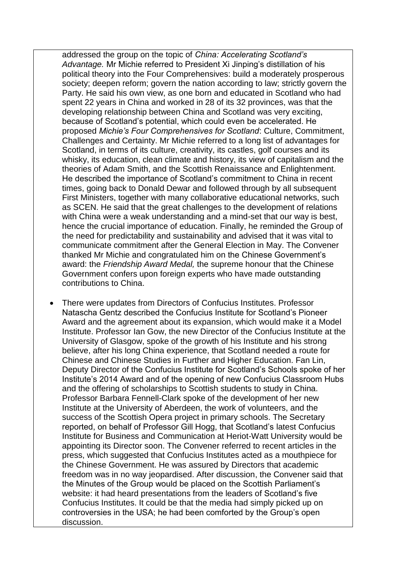addressed the group on the topic of *China: Accelerating Scotland's Advantage.* Mr Michie referred to President Xi Jinping's distillation of his political theory into the Four Comprehensives: build a moderately prosperous society; deepen reform; govern the nation according to law; strictly govern the Party. He said his own view, as one born and educated in Scotland who had spent 22 years in China and worked in 28 of its 32 provinces, was that the developing relationship between China and Scotland was very exciting, because of Scotland's potential, which could even be accelerated. He proposed *Michie's Four Comprehensives for Scotland*: Culture, Commitment, Challenges and Certainty. Mr Michie referred to a long list of advantages for Scotland, in terms of its culture, creativity, its castles, golf courses and its whisky, its education, clean climate and history, its view of capitalism and the theories of Adam Smith, and the Scottish Renaissance and Enlightenment. He described the importance of Scotland's commitment to China in recent times, going back to Donald Dewar and followed through by all subsequent First Ministers, together with many collaborative educational networks, such as SCEN. He said that the great challenges to the development of relations with China were a weak understanding and a mind-set that our way is best, hence the crucial importance of education. Finally, he reminded the Group of the need for predictability and sustainability and advised that it was vital to communicate commitment after the General Election in May. The Convener thanked Mr Michie and congratulated him on the Chinese Government's award: the *Friendship Award Medal,* the supreme honour that the Chinese Government confers upon foreign experts who have made outstanding contributions to China.

 There were updates from Directors of Confucius Institutes. Professor Natascha Gentz described the Confucius Institute for Scotland's Pioneer Award and the agreement about its expansion, which would make it a Model Institute. Professor Ian Gow, the new Director of the Confucius Institute at the University of Glasgow, spoke of the growth of his Institute and his strong believe, after his long China experience, that Scotland needed a route for Chinese and Chinese Studies in Further and Higher Education. Fan Lin, Deputy Director of the Confucius Institute for Scotland's Schools spoke of her Institute's 2014 Award and of the opening of new Confucius Classroom Hubs and the offering of scholarships to Scottish students to study in China. Professor Barbara Fennell-Clark spoke of the development of her new Institute at the University of Aberdeen, the work of volunteers, and the success of the Scottish Opera project in primary schools. The Secretary reported, on behalf of Professor Gill Hogg, that Scotland's latest Confucius Institute for Business and Communication at Heriot-Watt University would be appointing its Director soon. The Convener referred to recent articles in the press, which suggested that Confucius Institutes acted as a mouthpiece for the Chinese Government. He was assured by Directors that academic freedom was in no way jeopardised. After discussion, the Convener said that the Minutes of the Group would be placed on the Scottish Parliament's website: it had heard presentations from the leaders of Scotland's five Confucius Institutes. It could be that the media had simply picked up on controversies in the USA; he had been comforted by the Group's open discussion.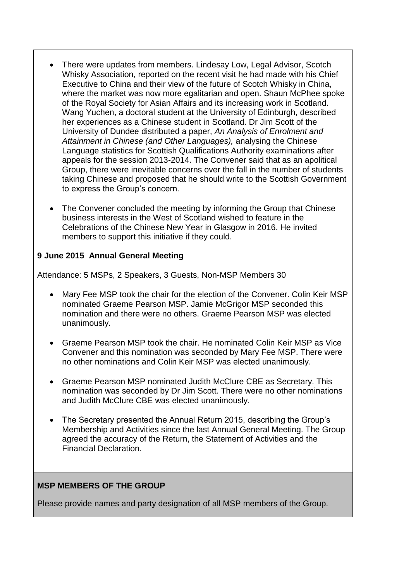- There were updates from members. Lindesay Low, Legal Advisor, Scotch Whisky Association, reported on the recent visit he had made with his Chief Executive to China and their view of the future of Scotch Whisky in China, where the market was now more egalitarian and open. Shaun McPhee spoke of the Royal Society for Asian Affairs and its increasing work in Scotland. Wang Yuchen, a doctoral student at the University of Edinburgh, described her experiences as a Chinese student in Scotland. Dr Jim Scott of the University of Dundee distributed a paper, *An Analysis of Enrolment and Attainment in Chinese (and Other Languages),* analysing the Chinese Language statistics for Scottish Qualifications Authority examinations after appeals for the session 2013-2014. The Convener said that as an apolitical Group, there were inevitable concerns over the fall in the number of students taking Chinese and proposed that he should write to the Scottish Government to express the Group's concern.
- The Convener concluded the meeting by informing the Group that Chinese business interests in the West of Scotland wished to feature in the Celebrations of the Chinese New Year in Glasgow in 2016. He invited members to support this initiative if they could.

### **9 June 2015 Annual General Meeting**

Attendance: 5 MSPs, 2 Speakers, 3 Guests, Non-MSP Members 30

- Mary Fee MSP took the chair for the election of the Convener. Colin Keir MSP nominated Graeme Pearson MSP. Jamie McGrigor MSP seconded this nomination and there were no others. Graeme Pearson MSP was elected unanimously.
- Graeme Pearson MSP took the chair. He nominated Colin Keir MSP as Vice Convener and this nomination was seconded by Mary Fee MSP. There were no other nominations and Colin Keir MSP was elected unanimously.
- Graeme Pearson MSP nominated Judith McClure CBE as Secretary. This nomination was seconded by Dr Jim Scott. There were no other nominations and Judith McClure CBE was elected unanimously.
- The Secretary presented the Annual Return 2015, describing the Group's Membership and Activities since the last Annual General Meeting. The Group agreed the accuracy of the Return, the Statement of Activities and the Financial Declaration.

### **MSP MEMBERS OF THE GROUP**

Please provide names and party designation of all MSP members of the Group.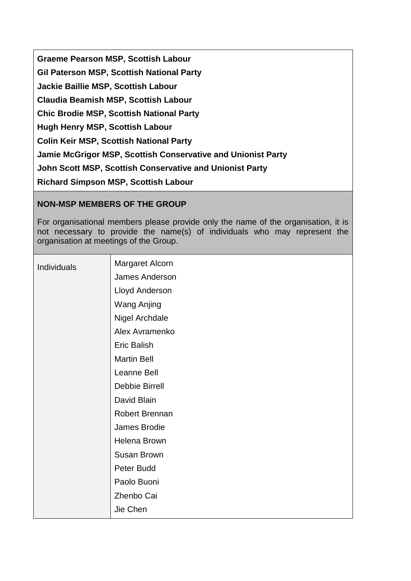**Graeme Pearson MSP, Scottish Labour Gil Paterson MSP, Scottish National Party Jackie Baillie MSP, Scottish Labour Claudia Beamish MSP, Scottish Labour Chic Brodie MSP, Scottish National Party Hugh Henry MSP, Scottish Labour Colin Keir MSP, Scottish National Party Jamie McGrigor MSP, Scottish Conservative and Unionist Party John Scott MSP, Scottish Conservative and Unionist Party Richard Simpson MSP, Scottish Labour**

# **NON-MSP MEMBERS OF THE GROUP**

For organisational members please provide only the name of the organisation, it is not necessary to provide the name(s) of individuals who may represent the organisation at meetings of the Group.

| Individuals | Margaret Alcorn    |
|-------------|--------------------|
|             | James Anderson     |
|             | Lloyd Anderson     |
|             | <b>Wang Anjing</b> |
|             | Nigel Archdale     |
|             | Alex Avramenko     |
|             | Eric Balish        |
|             | <b>Martin Bell</b> |
|             | Leanne Bell        |
|             | Debbie Birrell     |
|             | David Blain        |
|             | Robert Brennan     |
|             | James Brodie       |
|             | Helena Brown       |
|             | Susan Brown        |
|             | Peter Budd         |
|             | Paolo Buoni        |
|             | Zhenbo Cai         |
|             | Jie Chen           |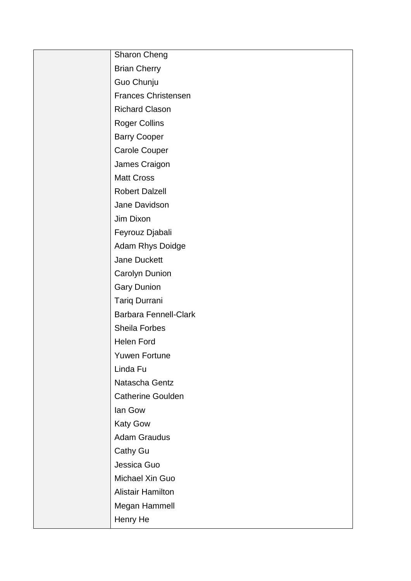| <b>Sharon Cheng</b>          |
|------------------------------|
| <b>Brian Cherry</b>          |
| Guo Chunju                   |
| <b>Frances Christensen</b>   |
| <b>Richard Clason</b>        |
| <b>Roger Collins</b>         |
| <b>Barry Cooper</b>          |
| <b>Carole Couper</b>         |
| James Craigon                |
| <b>Matt Cross</b>            |
| <b>Robert Dalzell</b>        |
| Jane Davidson                |
| Jim Dixon                    |
| Feyrouz Djabali              |
| Adam Rhys Doidge             |
| Jane Duckett                 |
| Carolyn Dunion               |
| <b>Gary Dunion</b>           |
| <b>Tariq Durrani</b>         |
| <b>Barbara Fennell-Clark</b> |
| Sheila Forbes                |
| <b>Helen Ford</b>            |
| Yuwen Fortune                |
| Linda Fu                     |
| Natascha Gentz               |
| <b>Catherine Goulden</b>     |
| lan Gow                      |
| <b>Katy Gow</b>              |
| <b>Adam Graudus</b>          |
| Cathy Gu                     |
| Jessica Guo                  |
| Michael Xin Guo              |
| <b>Alistair Hamilton</b>     |
| Megan Hammell                |
| Henry He                     |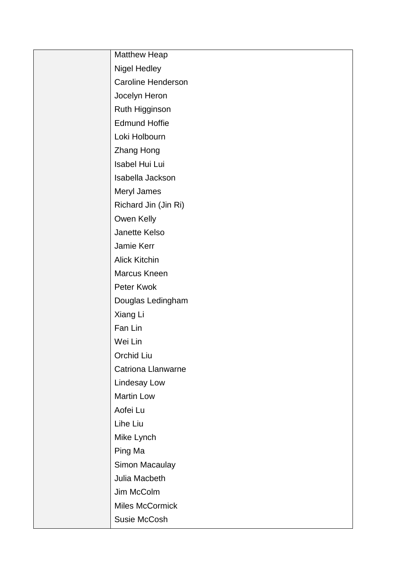| <b>Matthew Heap</b>       |
|---------------------------|
| <b>Nigel Hedley</b>       |
| Caroline Henderson        |
| Jocelyn Heron             |
| Ruth Higginson            |
| <b>Edmund Hoffie</b>      |
| Loki Holbourn             |
| <b>Zhang Hong</b>         |
| Isabel Hui Lui            |
| Isabella Jackson          |
| Meryl James               |
| Richard Jin (Jin Ri)      |
| Owen Kelly                |
| Janette Kelso             |
| Jamie Kerr                |
| <b>Alick Kitchin</b>      |
| Marcus Kneen              |
| Peter Kwok                |
| Douglas Ledingham         |
| Xiang Li                  |
| Fan Lin                   |
| Wei Lin                   |
| Orchid Liu                |
| <b>Catriona Llanwarne</b> |
| Lindesay Low              |
| <b>Martin Low</b>         |
| Aofei Lu                  |
| Lihe Liu                  |
| Mike Lynch                |
| Ping Ma                   |
| Simon Macaulay            |
| Julia Macbeth             |
| Jim McColm                |
| Miles McCormick           |
| Susie McCosh              |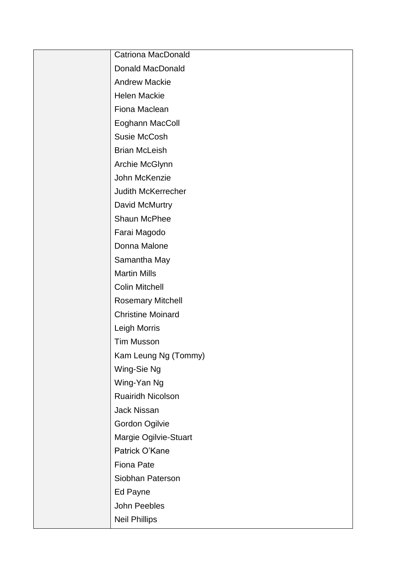| <b>Catriona MacDonald</b> |
|---------------------------|
| <b>Donald MacDonald</b>   |
| <b>Andrew Mackie</b>      |
| <b>Helen Mackie</b>       |
| Fiona Maclean             |
| Eoghann MacColl           |
| <b>Susie McCosh</b>       |
| <b>Brian McLeish</b>      |
| Archie McGlynn            |
| John McKenzie             |
| Judith McKerrecher        |
| David McMurtry            |
| Shaun McPhee              |
| Farai Magodo              |
| Donna Malone              |
| Samantha May              |
| <b>Martin Mills</b>       |
| <b>Colin Mitchell</b>     |
| <b>Rosemary Mitchell</b>  |
| <b>Christine Moinard</b>  |
| Leigh Morris              |
| <b>Tim Musson</b>         |
| Kam Leung Ng (Tommy)      |
| Wing-Sie Ng               |
| Wing-Yan Ng               |
| Ruairidh Nicolson         |
| Jack Nissan               |
| Gordon Ogilvie            |
| Margie Ogilvie-Stuart     |
| Patrick O'Kane            |
| <b>Fiona Pate</b>         |
| Siobhan Paterson          |
| Ed Payne                  |
| John Peebles              |
| <b>Neil Phillips</b>      |
|                           |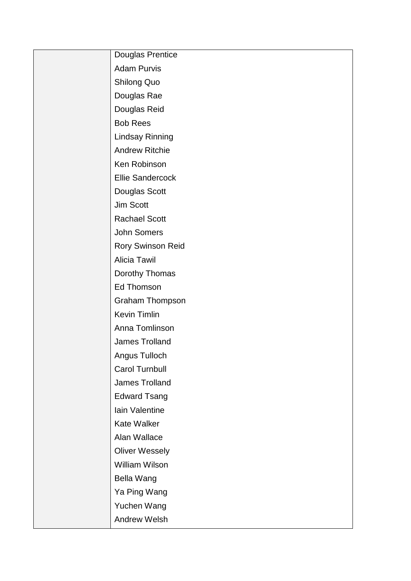| Douglas Prentice        |
|-------------------------|
| <b>Adam Purvis</b>      |
| <b>Shilong Quo</b>      |
| Douglas Rae             |
| Douglas Reid            |
| <b>Bob Rees</b>         |
| <b>Lindsay Rinning</b>  |
| <b>Andrew Ritchie</b>   |
| Ken Robinson            |
| <b>Ellie Sandercock</b> |
| Douglas Scott           |
| <b>Jim Scott</b>        |
| <b>Rachael Scott</b>    |
| John Somers             |
| Rory Swinson Reid       |
| <b>Alicia Tawil</b>     |
| Dorothy Thomas          |
| <b>Ed Thomson</b>       |
| <b>Graham Thompson</b>  |
| <b>Kevin Timlin</b>     |
| Anna Tomlinson          |
| <b>James Trolland</b>   |
| Angus Tulloch           |
| <b>Carol Turnbull</b>   |
| James Trolland          |
| <b>Edward Tsang</b>     |
| Iain Valentine          |
| <b>Kate Walker</b>      |
| Alan Wallace            |
| <b>Oliver Wessely</b>   |
| <b>William Wilson</b>   |
| <b>Bella Wang</b>       |
| Ya Ping Wang            |
| Yuchen Wang             |
| <b>Andrew Welsh</b>     |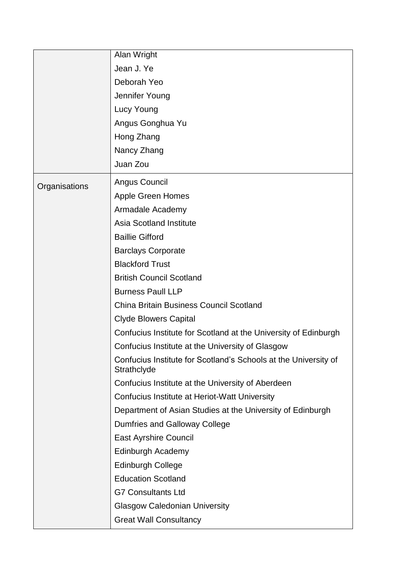|               | Alan Wright                                                                    |
|---------------|--------------------------------------------------------------------------------|
|               | Jean J. Ye                                                                     |
|               | Deborah Yeo                                                                    |
|               | Jennifer Young                                                                 |
|               | Lucy Young                                                                     |
|               | Angus Gonghua Yu                                                               |
|               | Hong Zhang                                                                     |
|               | Nancy Zhang                                                                    |
|               | Juan Zou                                                                       |
| Organisations | Angus Council                                                                  |
|               | <b>Apple Green Homes</b>                                                       |
|               | Armadale Academy                                                               |
|               | <b>Asia Scotland Institute</b>                                                 |
|               | <b>Baillie Gifford</b>                                                         |
|               | <b>Barclays Corporate</b>                                                      |
|               | <b>Blackford Trust</b>                                                         |
|               | <b>British Council Scotland</b>                                                |
|               | <b>Burness Paull LLP</b>                                                       |
|               | <b>China Britain Business Council Scotland</b>                                 |
|               | <b>Clyde Blowers Capital</b>                                                   |
|               | Confucius Institute for Scotland at the University of Edinburgh                |
|               | Confucius Institute at the University of Glasgow                               |
|               | Confucius Institute for Scotland's Schools at the University of<br>Strathclyde |
|               | Confucius Institute at the University of Aberdeen                              |
|               | Confucius Institute at Heriot-Watt University                                  |
|               | Department of Asian Studies at the University of Edinburgh                     |
|               | Dumfries and Galloway College                                                  |
|               | <b>East Ayrshire Council</b>                                                   |
|               | Edinburgh Academy                                                              |
|               | <b>Edinburgh College</b>                                                       |
|               | <b>Education Scotland</b>                                                      |
|               | <b>G7 Consultants Ltd</b>                                                      |
|               | <b>Glasgow Caledonian University</b>                                           |
|               | <b>Great Wall Consultancy</b>                                                  |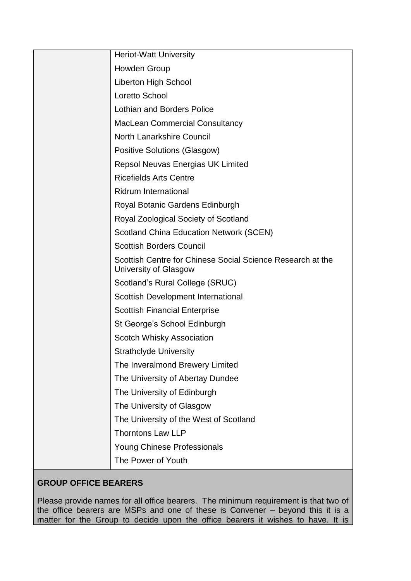| <b>Heriot-Watt University</b>                                                       |
|-------------------------------------------------------------------------------------|
| <b>Howden Group</b>                                                                 |
| <b>Liberton High School</b>                                                         |
| <b>Loretto School</b>                                                               |
| <b>Lothian and Borders Police</b>                                                   |
| <b>MacLean Commercial Consultancy</b>                                               |
| <b>North Lanarkshire Council</b>                                                    |
| Positive Solutions (Glasgow)                                                        |
| <b>Repsol Neuvas Energias UK Limited</b>                                            |
| <b>Ricefields Arts Centre</b>                                                       |
| <b>Ridrum International</b>                                                         |
| Royal Botanic Gardens Edinburgh                                                     |
| Royal Zoological Society of Scotland                                                |
| <b>Scotland China Education Network (SCEN)</b>                                      |
| <b>Scottish Borders Council</b>                                                     |
| Scottish Centre for Chinese Social Science Research at the<br>University of Glasgow |
| Scotland's Rural College (SRUC)                                                     |
| Scottish Development International                                                  |
| <b>Scottish Financial Enterprise</b>                                                |
| St George's School Edinburgh                                                        |
| <b>Scotch Whisky Association</b>                                                    |
| <b>Strathclyde University</b>                                                       |
| The Inveralmond Brewery Limited                                                     |
| The University of Abertay Dundee                                                    |
| The University of Edinburgh                                                         |
| The University of Glasgow                                                           |
| The University of the West of Scotland                                              |
| <b>Thorntons Law LLP</b>                                                            |
| <b>Young Chinese Professionals</b>                                                  |
| The Power of Youth                                                                  |

# **GROUP OFFICE BEARERS**

Please provide names for all office bearers. The minimum requirement is that two of the office bearers are MSPs and one of these is Convener – beyond this it is a matter for the Group to decide upon the office bearers it wishes to have. It is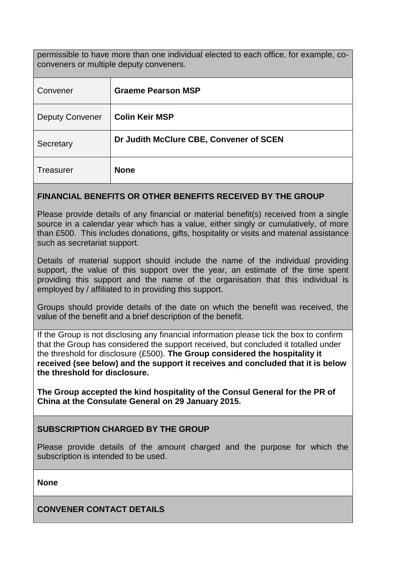permissible to have more than one individual elected to each office, for example, coconveners or multiple deputy conveners.

| Convener               | <b>Graeme Pearson MSP</b>               |
|------------------------|-----------------------------------------|
| <b>Deputy Convener</b> | <b>Colin Keir MSP</b>                   |
| Secretary              | Dr Judith McClure CBE, Convener of SCEN |
| <b>Treasurer</b>       | <b>None</b>                             |

### **FINANCIAL BENEFITS OR OTHER BENEFITS RECEIVED BY THE GROUP**

Please provide details of any financial or material benefit(s) received from a single source in a calendar year which has a value, either singly or cumulatively, of more than £500. This includes donations, gifts, hospitality or visits and material assistance such as secretariat support.

Details of material support should include the name of the individual providing support, the value of this support over the year, an estimate of the time spent providing this support and the name of the organisation that this individual is employed by / affiliated to in providing this support.

Groups should provide details of the date on which the benefit was received, the value of the benefit and a brief description of the benefit.

If the Group is not disclosing any financial information please tick the box to confirm that the Group has considered the support received, but concluded it totalled under the threshold for disclosure (£500). **The Group considered the hospitality it received (see below) and the support it receives and concluded that it is below the threshold for disclosure.**

**The Group accepted the kind hospitality of the Consul General for the PR of China at the Consulate General on 29 January 2015.** 

### **SUBSCRIPTION CHARGED BY THE GROUP**

Please provide details of the amount charged and the purpose for which the subscription is intended to be used.

**None**

**CONVENER CONTACT DETAILS**